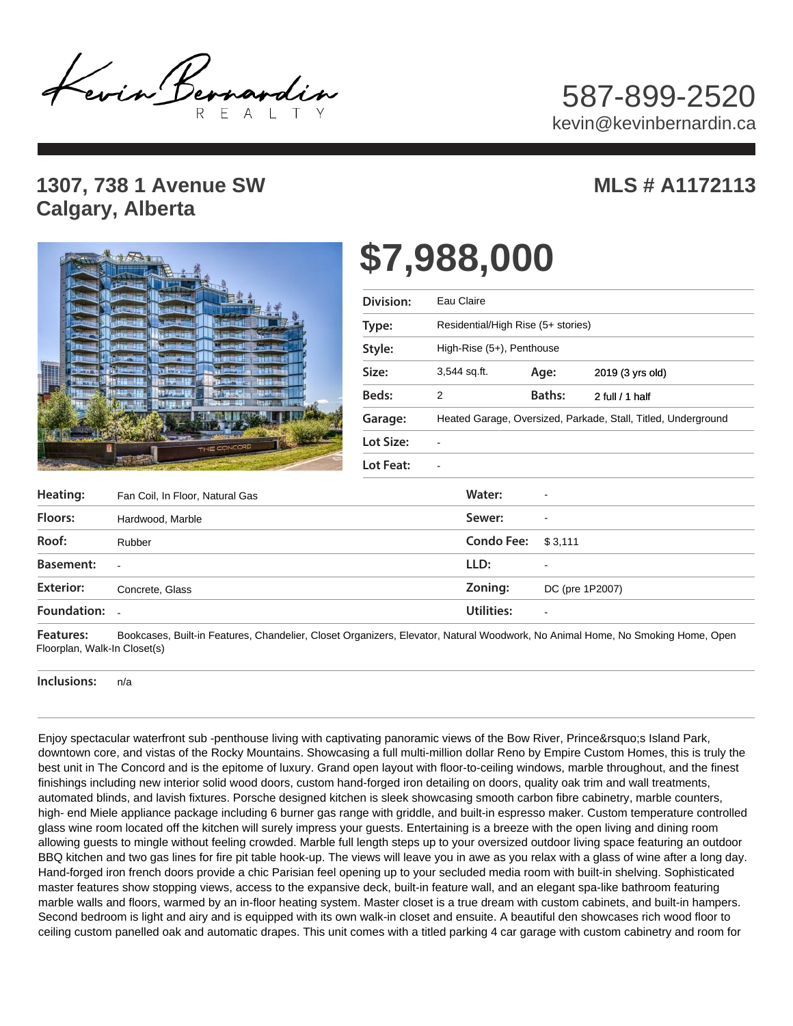Levin Bernardin

## 587-899-2520 kevin@kevinbernardin.ca

## **1307, 738 1 Avenue SW Calgary, Alberta**

## **MLS # A1172113**



## **\$7,988,000**

| Division: | Eau Claire                                                    |                 |                  |
|-----------|---------------------------------------------------------------|-----------------|------------------|
| Type:     | Residential/High Rise (5+ stories)                            |                 |                  |
| Style:    | High-Rise $(5+)$ , Penthouse                                  |                 |                  |
| Size:     | 3,544 sq.ft.                                                  | Age:            | 2019 (3 yrs old) |
| Beds:     | 2                                                             | Baths:          | 2 full / 1 half  |
| Garage:   | Heated Garage, Oversized, Parkade, Stall, Titled, Underground |                 |                  |
| Lot Size: |                                                               |                 |                  |
| Lot Feat: |                                                               |                 |                  |
|           | Water:                                                        |                 |                  |
|           | Sewer:                                                        |                 |                  |
|           | <b>Condo Fee:</b>                                             | \$3,111         |                  |
|           | LLD:                                                          |                 |                  |
|           | Zoning:                                                       | DC (pre 1P2007) |                  |
|           |                                                               |                 |                  |

**Heating:** Fan Coil, In Floor, Natural Gas **Natural Gas** Natur: **Floors: Sewer:**  Hardwood, Marble **Roof:** Rubber **Rubber 2008 Roof: Condo Fee: Condo Fee: Condo Fee: Basement: Exterior: Zoning:**  Concrete, Glass **Foundation: Utilities:**  - Rubber - -

**Features:**  Bookcases, Built-in Features, Chandelier, Closet Organizers, Elevator, Natural Woodwork, No Animal Home, No Smoking Home, Open Floorplan, Walk-In Closet(s)

**Inclusions:**  n/a

Enjoy spectacular waterfront sub -penthouse living with captivating panoramic views of the Bow River, Prince' sIsland Park, downtown core, and vistas of the Rocky Mountains. Showcasing a full multi-million dollar Reno by Empire Custom Homes, this is truly the best unit in The Concord and is the epitome of luxury. Grand open layout with floor-to-ceiling windows, marble throughout, and the finest finishings including new interior solid wood doors, custom hand-forged iron detailing on doors, quality oak trim and wall treatments, automated blinds, and lavish fixtures. Porsche designed kitchen is sleek showcasing smooth carbon fibre cabinetry, marble counters, high- end Miele appliance package including 6 burner gas range with griddle, and built-in espresso maker. Custom temperature controlled glass wine room located off the kitchen will surely impress your guests. Entertaining is a breeze with the open living and dining room allowing guests to mingle without feeling crowded. Marble full length steps up to your oversized outdoor living space featuring an outdoor BBQ kitchen and two gas lines for fire pit table hook-up. The views will leave you in awe as you relax with a glass of wine after a long day. Hand-forged iron french doors provide a chic Parisian feel opening up to your secluded media room with built-in shelving. Sophisticated master features show stopping views, access to the expansive deck, built-in feature wall, and an elegant spa-like bathroom featuring marble walls and floors, warmed by an in-floor heating system. Master closet is a true dream with custom cabinets, and built-in hampers. Second bedroom is light and airy and is equipped with its own walk-in closet and ensuite. A beautiful den showcases rich wood floor to ceiling custom panelled oak and automatic drapes. This unit comes with a titled parking 4 car garage with custom cabinetry and room for